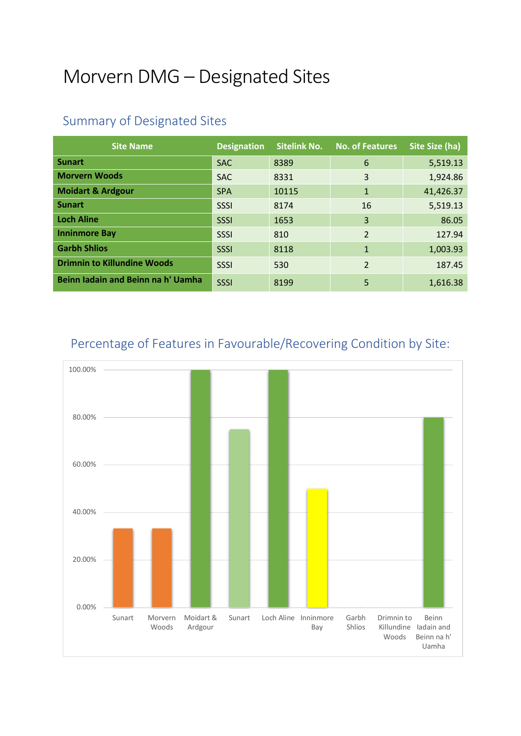## Morvern DMG – Designated Sites

| <b>Site Name</b>                   | <b>Designation</b> | <b>Sitelink No.</b> | <b>No. of Features</b>   | Site Size (ha) |
|------------------------------------|--------------------|---------------------|--------------------------|----------------|
| <b>Sunart</b>                      | <b>SAC</b>         | 8389                | 6                        | 5,519.13       |
| <b>Morvern Woods</b>               | <b>SAC</b>         | 8331                | 3                        | 1,924.86       |
| <b>Moidart &amp; Ardgour</b>       | <b>SPA</b>         | 10115               | $\mathbf{1}$             | 41,426.37      |
| <b>Sunart</b>                      | <b>SSSI</b>        | 8174                | 16                       | 5,519.13       |
| <b>Loch Aline</b>                  | SSSI               | 1653                | 3                        | 86.05          |
| <b>Inninmore Bay</b>               | SSSI               | 810                 | $\overline{\mathcal{L}}$ | 127.94         |
| <b>Garbh Shlios</b>                | SSSI               | 8118                | $\mathbf{1}$             | 1,003.93       |
| <b>Drimnin to Killundine Woods</b> | SSSI               | 530                 | $\overline{2}$           | 187.45         |
| Beinn Iadain and Beinn na h' Uamha | SSSI               | 8199                | 5                        | 1,616.38       |

## Summary of Designated Sites